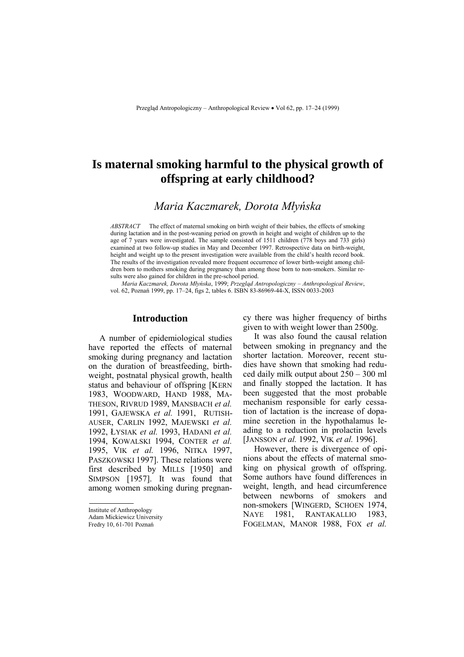# **Is maternal smoking harmful to the physical growth of offspring at early childhood?**

# *Maria Kaczmarek, Dorota Młyńska*

*ABSTRACT* The effect of maternal smoking on birth weight of their babies, the effects of smoking during lactation and in the post-weaning period on growth in height and weight of children up to the age of 7 years were investigated. The sample consisted of 1511 children (778 boys and 733 girls) examined at two follow-up studies in May and December 1997. Retrospective data on birth-weight, height and weight up to the present investigation were available from the child's health record book. The results of the investigation revealed more frequent occurrence of lower birth-weight among children born to mothers smoking during pregnancy than among those born to non-smokers. Similar results were also gained for children in the pre-school period.

*Maria Kaczmarek, Dorota Młyńska, 1999; Przegląd Antropologiczny – Anthropological Review,* vol. 62, Poznań 1999, pp. 17–24, figs 2, tables 6. ISBN 83-86969-44-X, ISSN 0033-2003

# **Introduction**

A number of epidemiological studies have reported the effects of maternal smoking during pregnancy and lactation on the duration of breastfeeding, birthweight, postnatal physical growth, health status and behaviour of offspring [KERN 1983, WOODWARD, HAND 1988, MA-THESON, RIVRUD 1989, MANSBACH *et al.* 1991, GAJEWSKA *et al.* 1991, RUTISH-AUSER, CARLIN 1992, MAJEWSKI *et al.* 1992, ŁYSIAK *et al.* 1993, HADANI *et al.* 1994, KOWALSKI 1994, CONTER *et al.* 1995, VIK *et al.* 1996, NITKA 1997, PASZKOWSKI 1997]. These relations were first described by MILLS [1950] and SIMPSON [1957]. It was found that among women smoking during pregnancy there was higher frequency of births given to with weight lower than 2500g.

It was also found the causal relation between smoking in pregnancy and the shorter lactation. Moreover, recent studies have shown that smoking had reduced daily milk output about  $250 - 300$  ml and finally stopped the lactation. It has been suggested that the most probable mechanism responsible for early cessation of lactation is the increase of dopamine secretion in the hypothalamus leading to a reduction in prolactin levels [JANSSON *et al.* 1992, VIK *et al.* 1996].

However, there is divergence of opinions about the effects of maternal smoking on physical growth of offspring. Some authors have found differences in weight, length, and head circumference between newborns of smokers and non-smokers [WINGERD, SCHOEN 1974, NAYE 1981, RANTAKALLIO 1983, FOGELMAN, MANOR 1988, FOX *et al.*

Institute of Anthropology

Adam Mickiewicz University

Fredry 10, 61-701 Poznań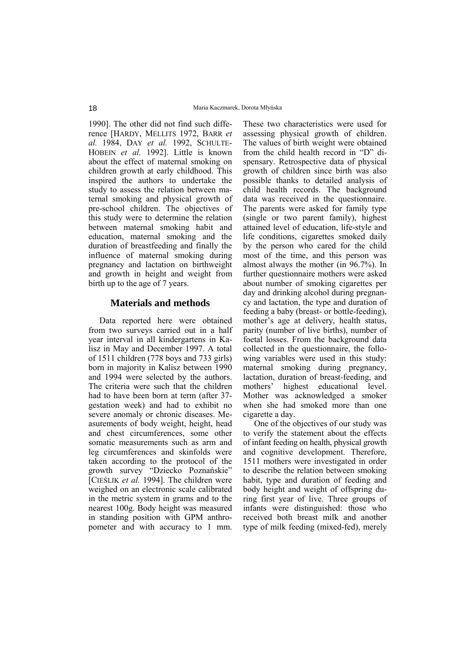1990]. The other did not find such difference [HARDY, MELLITS 1972, BARR *et al.* 1984, DAY *et al.* 1992, SCHULTE-HOBEIN *et al.* 1992]. Little is known about the effect of maternal smoking on children growth at early childhood. This inspired the authors to undertake the study to assess the relation between maternal smoking and physical growth of pre-school children. The objectives of this study were to determine the relation between maternal smoking habit and education, maternal smoking and the duration of breastfeeding and finally the influence of maternal smoking during pregnancy and lactation on birthweight and growth in height and weight from birth up to the age of 7 years.

# **Materials and methods**

Data reported here were obtained from two surveys carried out in a half year interval in all kindergartens in Kalisz in May and December 1997. A total of 1511 children (778 boys and 733 girls) born in majority in Kalisz between 1990 and 1994 were selected by the authors. The criteria were such that the children had to have been born at term (after 37 gestation week) and had to exhibit no severe anomaly or chronic diseases. Measurements of body weight, height, head and chest circumferences, some other somatic measurements such as arm and leg circumferences and skinfolds were taken according to the protocol of the growth survey "Dziecko Poznańskie" [CIEŚLIK *et al.* 1994]. The children were weighed on an electronic scale calibrated in the metric system in grams and to the nearest 100g. Body height was measured in standing position with GPM anthropometer and with accuracy to 1 mm.

These two characteristics were used for assessing physical growth of children. The values of birth weight were obtained from the child health record in "D" dispensary. Retrospective data of physical growth of children since birth was also possible thanks to detailed analysis of child health records. The background data was received in the questionnaire. The parents were asked for family type (single or two parent family), highest attained level of education, life-style and life conditions, cigarettes smoked daily by the person who cared for the child most of the time, and this person was almost always the mother (in 96.7%). In further questionnaire mothers were asked about number of smoking cigarettes per day and drinking alcohol during pregnancy and lactation, the type and duration of feeding a baby (breast- or bottle-feeding), mother's age at delivery, health status, parity (number of live births), number of foetal losses. From the background data collected in the questionnaire, the following variables were used in this study: maternal smoking during pregnancy, lactation, duration of breast-feeding, and mothers' highest educational level. Mother was acknowledged a smoker when she had smoked more than one cigarette a day.

One of the objectives of our study was to verify the statement about the effects of infant feeding on health, physical growth and cognitive development. Therefore, 1511 mothers were investigated in order to describe the relation between smoking habit, type and duration of feeding and body height and weight of offspring during first year of live. Three groups of infants were distinguished: those who received both breast milk and another type of milk feeding (mixed-fed), merely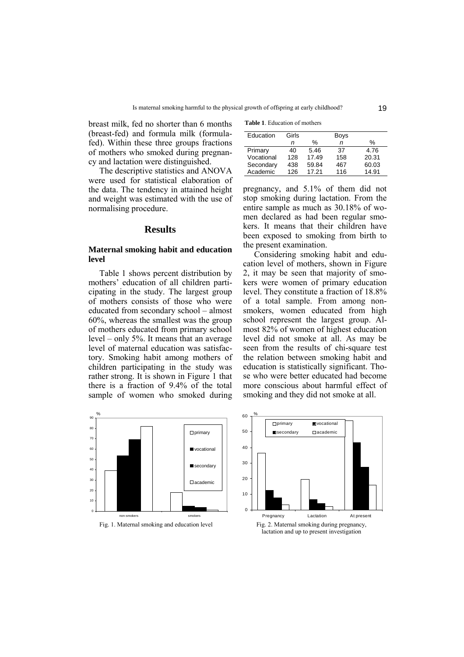breast milk, fed no shorter than 6 months (breast-fed) and formula milk (formulafed). Within these three groups fractions of mothers who smoked during pregnancy and lactation were distinguished.

The descriptive statistics and ANOVA were used for statistical elaboration of the data. The tendency in attained height and weight was estimated with the use of normalising procedure.

#### **Results**

#### **Maternal smoking habit and education level**

Table 1 shows percent distribution by mothers' education of all children participating in the study. The largest group of mothers consists of those who were educated from secondary school – almost 60%, whereas the smallest was the group of mothers educated from primary school level – only 5%. It means that an average level of maternal education was satisfactory. Smoking habit among mothers of children participating in the study was rather strong. It is shown in Figure 1 that there is a fraction of 9.4% of the total sample of women who smoked during

| <b>Table 1.</b> Education of mothers |
|--------------------------------------|
|--------------------------------------|

| Education  | Girls | <b>Boys</b> |     |       |
|------------|-------|-------------|-----|-------|
|            | n     | %           | n   | $\%$  |
| Primary    | 40    | 5.46        | 37  | 4.76  |
| Vocational | 128   | 17.49       | 158 | 20.31 |
| Secondary  | 438   | 59.84       | 467 | 60.03 |
| Academic   | 126   | 17.21       | 116 | 14.91 |

pregnancy, and 5.1% of them did not stop smoking during lactation. From the entire sample as much as 30.18% of women declared as had been regular smokers. It means that their children have been exposed to smoking from birth to the present examination.

Considering smoking habit and education level of mothers, shown in Figure 2, it may be seen that majority of smokers were women of primary education level. They constitute a fraction of 18.8% of a total sample. From among nonsmokers, women educated from high school represent the largest group. Almost 82% of women of highest education level did not smoke at all. As may be seen from the results of chi-square test the relation between smoking habit and education is statistically significant. Those who were better educated had become more conscious about harmful effect of smoking and they did not smoke at all.

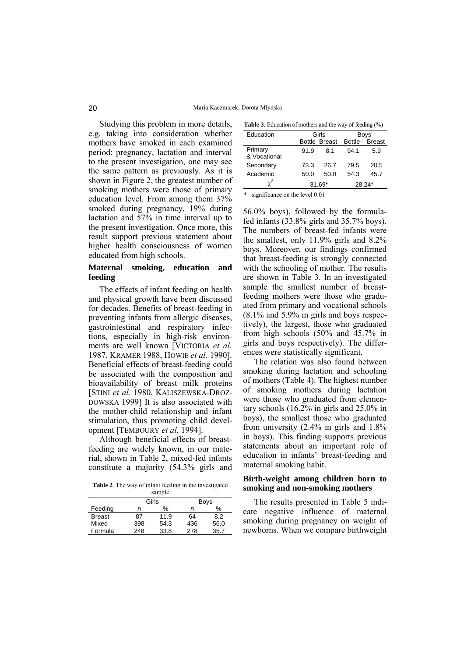Studying this problem in more details, e.g. taking into consideration whether mothers have smoked in each examined period: pregnancy, lactation and interval to the present investigation, one may see the same pattern as previously. As it is shown in Figure 2, the greatest number of smoking mothers were those of primary education level. From among them 37% smoked during pregnancy, 19% during lactation and 57% in time interval up to the present investigation. Once more, this result support previous statement about higher health consciousness of women educated from high schools.

#### **Maternal smoking, education and feeding**

The effects of infant feeding on health and physical growth have been discussed for decades. Benefits of breast-feeding in preventing infants from allergic diseases, gastrointestinal and respiratory infections, especially in high-risk environments are well known [VICTORIA *et al.* 1987, KRAMER 1988, HOWIE *et al.* 1990]. Beneficial effects of breast-feeding could be associated with the composition and bioavailability of breast milk proteins [STINI *et al.* 1980, KALISZEWSKA-DROZ-DOWSKA 1999] It is also associated with the mother-child relationship and infant stimulation, thus promoting child development [TEMBOURY *et al.* 1994].

Although beneficial effects of breastfeeding are widely known, in our material, shown in Table 2, mixed-fed infants constitute a majority (54.3% girls and

**Table 2**. The way of infant feeding in the investigated sample

|               | Girls |      | <b>Boys</b> |      |
|---------------|-------|------|-------------|------|
| Feeding       | n     | $\%$ | n           | %    |
| <b>Breast</b> | 87    | 11.9 | 64          | 8.2  |
| Mixed         | 398   | 54.3 | 436         | 56.0 |
| Formula       | 248   | 33.8 | 278         | 35.7 |
|               |       |      |             |      |

| Education               | Girls         |      | Boys          |               |
|-------------------------|---------------|------|---------------|---------------|
|                         | Bottle Breast |      | <b>Bottle</b> | <b>Breast</b> |
| Primary<br>& Vocational | 91.9          | 8.1  | 94.1          | 5.9           |
| Secondary               | 73.3          | 26.7 | 79.5          | 20.5          |
| Academic                | 50.0          | 50.0 | 54.3          | 45.7          |
|                         | $31.69*$      |      |               | 28.24*        |

 $*$ – significance on the level 0.01

56.0% boys), followed by the formulafed infants (33.8% girls and 35.7% boys). The numbers of breast-fed infants were the smallest, only 11.9% girls and 8.2% boys. Moreover, our findings confirmed that breast-feeding is strongly connected with the schooling of mother. The results are shown in Table 3. In an investigated sample the smallest number of breastfeeding mothers were those who graduated from primary and vocational schools (8.1% and 5.9% in girls and boys respectively), the largest, those who graduated from high schools (50% and 45.7% in girls and boys respectively). The differences were statistically significant.

The relation was also found between smoking during lactation and schooling of mothers (Table 4). The highest number of smoking mothers during lactation were those who graduated from elementary schools (16.2% in girls and 25.0% in boys), the smallest those who graduated from university (2.4% in girls and 1.8% in boys). This finding supports previous statements about an important role of education in infants' breast-feeding and maternal smoking habit.

#### **Birth-weight among children born to smoking and non-smoking mothers**

The results presented in Table 5 indicate negative influence of maternal smoking during pregnancy on weight of newborns. When we compare birthweight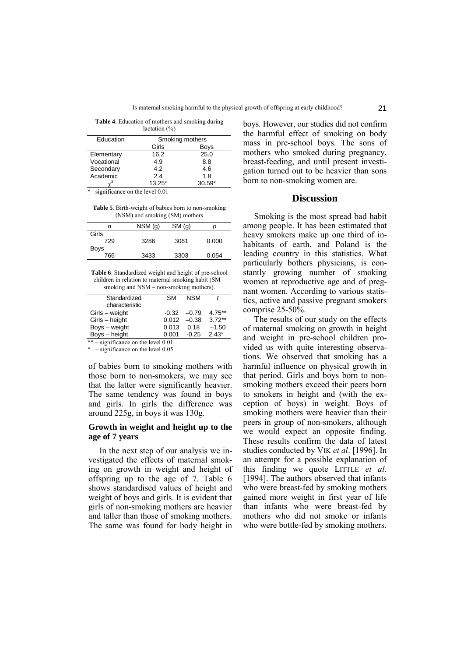**Table 4**. Education of mothers and smoking during  $location(0/)$ 

| $i$ actation (70) |                 |          |  |
|-------------------|-----------------|----------|--|
| Education         | Smoking mothers |          |  |
|                   | Girls           | Boys     |  |
| Elementary        | 16.2            | 25.0     |  |
| Vocational        | 4.9             | 8.8      |  |
| Secondary         | 4.2             | 4.6      |  |
| Academic          | 2.4             | 1.8      |  |
|                   | $13.25*$        | $30.59*$ |  |

 $*$ – significance on the level 0.01

**Table 5**. Birth-weight of babies born to non-smoking (NSM) and smoking (SM) mothers

| n           | $NSM$ (g) | SM(q) |       |
|-------------|-----------|-------|-------|
| Girls       |           |       |       |
| 729         | 3286      | 3061  | 0.000 |
| <b>Boys</b> |           |       |       |
| 766         | 3433      | 3303  | 0,054 |
|             |           |       |       |

**Table 6**. Standardized weight and height of pre-school children in relation to maternal smoking habit (SM smoking and  $NSM$  – non-smoking mothers).

| Standardized                        | <b>SM</b> | <b>NSM</b> |           |
|-------------------------------------|-----------|------------|-----------|
| characteristic                      |           |            |           |
| Girls - weight                      | $-0.32$   | $-0.79$    | $4.75***$ |
| Girls - height                      | 0.012     | $-0.38$    | $3.72**$  |
| Boys - weight                       | 0.013     | 0.18       | $-1.50$   |
| Boys - height                       | 0.001     | $-0.25$    | $2.43*$   |
| ** – significance on the level 0.01 |           |            |           |

 $-$  significance on the level 0.05

of babies born to smoking mothers with those born to non-smokers, we may see that the latter were significantly heavier. The same tendency was found in boys and girls. In girls the difference was around 225g, in boys it was 130g.

#### **Growth in weight and height up to the age of 7 years**

In the next step of our analysis we investigated the effects of maternal smoking on growth in weight and height of offspring up to the age of 7. Table 6 shows standardised values of height and weight of boys and girls. It is evident that girls of non-smoking mothers are heavier and taller than those of smoking mothers. The same was found for body height in

boys. However, our studies did not confirm the harmful effect of smoking on body mass in pre-school boys. The sons of mothers who smoked during pregnancy, breast-feeding, and until present investigation turned out to be heavier than sons born to non-smoking women are.

#### **Discussion**

Smoking is the most spread bad habit among people. It has been estimated that heavy smokers make up one third of inhabitants of earth, and Poland is the leading country in this statistics. What particularly bothers physicians, is constantly growing number of smoking women at reproductive age and of pregnant women. According to various statistics, active and passive pregnant smokers comprise 25-50%.

The results of our study on the effects of maternal smoking on growth in height and weight in pre-school children provided us with quite interesting observations. We observed that smoking has a harmful influence on physical growth in that period. Girls and boys born to nonsmoking mothers exceed their peers born to smokers in height and (with the exception of boys) in weight. Boys of smoking mothers were heavier than their peers in group of non-smokers, although we would expect an opposite finding. These results confirm the data of latest studies conducted by VIK *et al*. [1996]. In an attempt for a possible explanation of this finding we quote LITTLE *et al.* [1994]. The authors observed that infants who were breast-fed by smoking mothers gained more weight in first year of life than infants who were breast-fed by mothers who did not smoke or infants who were bottle-fed by smoking mothers.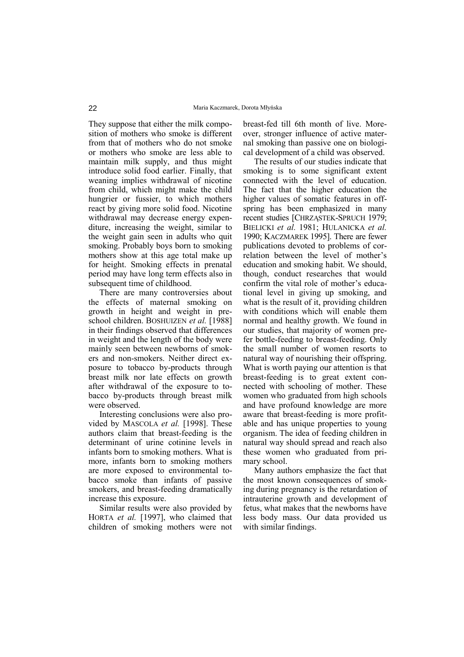They suppose that either the milk composition of mothers who smoke is different from that of mothers who do not smoke or mothers who smoke are less able to maintain milk supply, and thus might introduce solid food earlier. Finally, that weaning implies withdrawal of nicotine from child, which might make the child hungrier or fussier, to which mothers react by giving more solid food. Nicotine withdrawal may decrease energy expenditure, increasing the weight, similar to the weight gain seen in adults who quit smoking. Probably boys born to smoking mothers show at this age total make up for height. Smoking effects in prenatal period may have long term effects also in subsequent time of childhood.

There are many controversies about the effects of maternal smoking on growth in height and weight in preschool children. BOSHUIZEN *et al.* [1988] in their findings observed that differences in weight and the length of the body were mainly seen between newborns of smokers and non-smokers. Neither direct exposure to tobacco by-products through breast milk nor late effects on growth after withdrawal of the exposure to tobacco by-products through breast milk were observed.

Interesting conclusions were also provided by MASCOLA *et al.* [1998]. These authors claim that breast-feeding is the determinant of urine cotinine levels in infants born to smoking mothers. What is more, infants born to smoking mothers are more exposed to environmental tobacco smoke than infants of passive smokers, and breast-feeding dramatically increase this exposure.

Similar results were also provided by HORTA *et al.* [1997], who claimed that children of smoking mothers were not breast-fed till 6th month of live. Moreover, stronger influence of active maternal smoking than passive one on biological development of a child was observed.

The results of our studies indicate that smoking is to some significant extent connected with the level of education. The fact that the higher education the higher values of somatic features in offspring has been emphasized in many recent studies [CHRZĄSTEK-SPRUCH 1979; BIELICKI *et al.* 1981; HULANICKA *et al.* 1990; KACZMAREK 1995]. There are fewer publications devoted to problems of correlation between the level of mother's education and smoking habit. We should, though, conduct researches that would confirm the vital role of mother's educational level in giving up smoking, and what is the result of it, providing children with conditions which will enable them normal and healthy growth. We found in our studies, that majority of women prefer bottle-feeding to breast-feeding. Only the small number of women resorts to natural way of nourishing their offspring. What is worth paying our attention is that breast-feeding is to great extent connected with schooling of mother. These women who graduated from high schools and have profound knowledge are more aware that breast-feeding is more profitable and has unique properties to young organism. The idea of feeding children in natural way should spread and reach also these women who graduated from primary school.

Many authors emphasize the fact that the most known consequences of smoking during pregnancy is the retardation of intrauterine growth and development of fetus, what makes that the newborns have less body mass. Our data provided us with similar findings.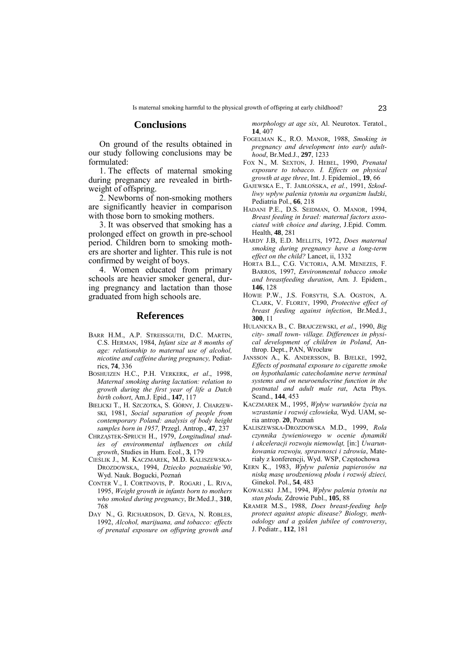## **Conclusions**

On ground of the results obtained in our study following conclusions may be formulated:

1. The effects of maternal smoking during pregnancy are revealed in birthweight of offspring.

2. Newborns of non-smoking mothers are significantly heavier in comparison with those born to smoking mothers.

3. It was observed that smoking has a prolonged effect on growth in pre-school period. Children born to smoking mothers are shorter and lighter. This rule is not confirmed by weight of boys.

4. Women educated from primary schools are heavier smoker general, during pregnancy and lactation than those graduated from high schools are.

#### **References**

- BARR H.M., A.P. STREISSGUTH, D.C. MARTIN, C.S. HERMAN, 1984, *Infant size at 8 months of age: relationship to maternal use of alcohol, nicotine and caffeine during pregnancy,* Pediatrics, **74**, 336
- BOSHUIZEN H.C., P.H. VERKERK, *et al*., 1998, *Maternal smoking during lactation: relation to growth during the first year of life a Dutch birth cohort*, Am.J. Epid., **147**, 117
- BIELICKI T., H. SZCZOTKA, S. GÓRNY, J. CHARZEW-SKI, 1981, *Social separation of people from contemporary Poland: analysis of body height samples born in 1957,* Przegl. Antrop., **47**, 237
- CHRZĄSTEK-SPRUCH H., 1979, *Longitudinal studies of environmental influences on child growth*, Studies in Hum. Ecol., **3**, 179
- CIEŚLIK J., M. KACZMAREK, M.D. KALISZEWSKA-DROZDOWSKA, 1994, *Dziecko poznańskieí90*, Wyd. Nauk. Bogucki, Poznań
- CONTER V., I. CORTINOVIS, P. ROGARI , L. RIVA, 1995, *Weight growth in infants born to mothers who smoked during pregnancy*, Br.Med.J., **310**, 768
- DAY N., G. RICHARDSON, D. GEVA, N. ROBLES, 1992, *Alcohol, marijuana, and tobacco: effects of prenatal exposure on offspring growth and*

*morphology at age six*, Al. Neurotox. Teratol., **14**, 407

- FOGELMAN K., R.O. MANOR, 1988, *Smoking in pregnancy and development into early adulthood*, Br.Med.J., **297**, 1233
- FOX N., M. SEXTON, J. HEBEL, 1990, *Prenatal exposure to tobacco. I. Effects on physical growth at age three*, Int. J. Epidemiol., **19**, 66
- GAJEWSKA E., T. JABŁOŃSKA, *et al.*, 1991, *Szkodliwy wpływ palenia tytoniu na organizm ludzki*, Pediatria Pol., **66**, 218
- HADANI P.E., D.S. SEIDMAN, O. MANOR, 1994, *Breast feeding in Israel: maternal factors associated with choice and during*, J.Epid. Comm. Health, **48**, 281
- HARDY J.B, E.D. MELLITS, 1972, *Does maternal smoking during pregnancy have a long-term effect on the child?* Lancet, ii, 1332
- HORTA B.L., C.G. VICTORIA, A.M. MENEZES, F. BARROS, 1997, *Environmental tobacco smoke and breastfeeding duration*, Am. J. Epidem., **146**, 128
- HOWIE P.W., J.S. FORSYTH, S.A. OGSTON, A. CLARK, V. FLOREY, 1990, *Protective effect of breast feeding against infection*, Br.Med.J., **300**, 11
- HULANICKA B., C. BRAJCZEWSKI, *et al*., 1990, *Big city- small town- village. Differences in physical development of children in Poland*, Anthrop. Dept., PAN, Wrocław
- JANSSON A., K. ANDERSSON, B. BJELKE, 1992, *Effects of postnatal exposure to cigarette smoke on hypothalamic catecholamine nerve terminal systems and on neuroendocrine function in the postnatal and adult male rat*, Acta Phys. Scand., **144**, 453
- KACZMAREK M., 1995, Wpływ warunków życia na *wzrastanie i rozwÛj człowieka,* Wyd. UAM, seria antrop. **20**, Poznań
- KALISZEWSKA-DROZDOWSKA M.D., 1999, *Rola czynnika żywieniowego w ocenie dynamiki i akceleracji rozwoju niemowląt,* [in:] *Uwarunkowania rozwoju, sprawnosci i zdrowia*, Materiały z konferencji, Wyd. WSP, Częstochowa
- KERN K., 1983, *Wpływ palenia papierosów na niską masę urodzeniową płodu i rozwÛj dzieci,* Ginekol. Pol., **54**, 483
- KOWALSKI J.M., 1994, *Wpływ palenia tytoniu na stan płodu,* Zdrowie Publ., **105**, 88
- KRAMER M.S., 1988, *Does breast-feeding help protect against atopic disease? Biology, methodology and a golden jubilee of controversy*, J. Pediatr., **112**, 181